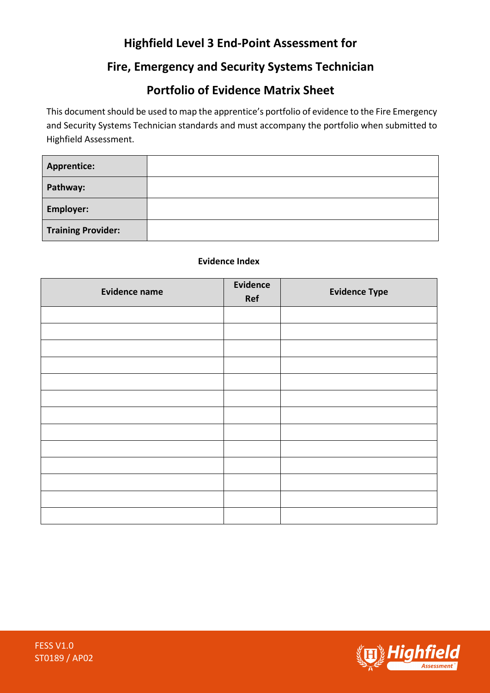# **Highfield Level 3 End-Point Assessment for**

## **Fire, Emergency and Security Systems Technician**

### **Portfolio of Evidence Matrix Sheet**

This document should be used to map the apprentice's portfolio of evidence to the Fire Emergency and Security Systems Technician standards and must accompany the portfolio when submitted to Highfield Assessment.

| <b>Apprentice:</b>        |  |
|---------------------------|--|
| Pathway:                  |  |
| <b>Employer:</b>          |  |
| <b>Training Provider:</b> |  |

#### **Evidence Index**

| <b>Evidence name</b> | Evidence<br>Ref | <b>Evidence Type</b> |
|----------------------|-----------------|----------------------|
|                      |                 |                      |
|                      |                 |                      |
|                      |                 |                      |
|                      |                 |                      |
|                      |                 |                      |
|                      |                 |                      |
|                      |                 |                      |
|                      |                 |                      |
|                      |                 |                      |
|                      |                 |                      |
|                      |                 |                      |
|                      |                 |                      |
|                      |                 |                      |